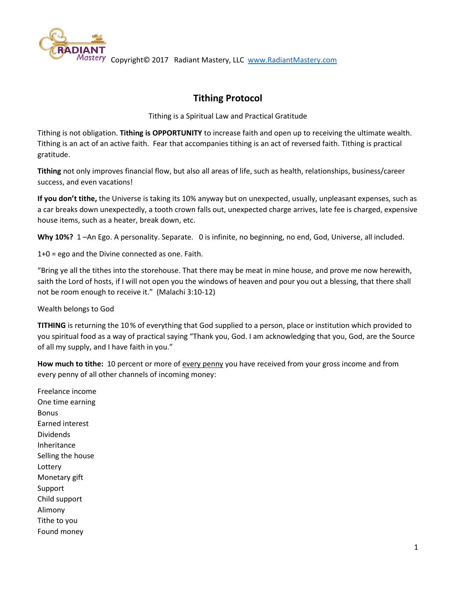

# **Tithing Protocol**

Tithing is a Spiritual Law and Practical Gratitude

Tithing is not obligation. **Tithing is OPPORTUNITY** to increase faith and open up to receiving the ultimate wealth. Tithing is an act of an active faith. Fear that accompanies tithing is an act of reversed faith. Tithing is practical gratitude.

**Tithing** not only improves financial flow, but also all areas of life, such as health, relationships, business/career success, and even vacations!

**If you don't tithe,** the Universe is taking its 10% anyway but on unexpected, usually, unpleasant expenses, such as a car breaks down unexpectedly, a tooth crown falls out, unexpected charge arrives, late fee is charged, expensive house items, such as a heater, break down, etc.

**Why 10%?** 1 –An Ego. A personality. Separate. 0 is infinite, no beginning, no end, God, Universe, all included.

1+0 = ego and the Divine connected as one. Faith.

"Bring ye all the tithes into the storehouse. That there may be meat in mine house, and prove me now herewith, saith the Lord of hosts, if I will not open you the windows of heaven and pour you out a blessing, that there shall not be room enough to receive it." (Malachi 3:10-12)

Wealth belongs to God

**TITHING** is returning the 10% of everything that God supplied to a person, place or institution which provided to you spiritual food as a way of practical saying "Thank you, God. I am acknowledging that you, God, are the Source of all my supply, and I have faith in you."

**How much to tithe:** 10 percent or more of every penny you have received from your gross income and from every penny of all other channels of incoming money:

Freelance income One time earning Bonus Earned interest Dividends Inheritance Selling the house Lottery Monetary gift Support Child support Alimony Tithe to you Found money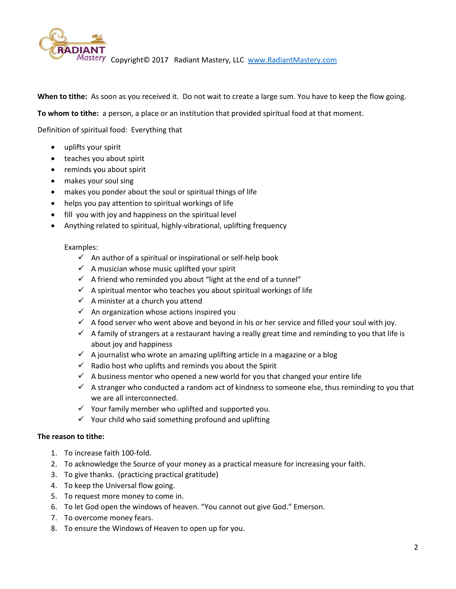

**When to tithe:** As soon as you received it. Do not wait to create a large sum. You have to keep the flow going.

**To whom to tithe:** a person, a place or an institution that provided spiritual food at that moment.

Definition of spiritual food: Everything that

- uplifts your spirit
- teaches you about spirit
- reminds you about spirit
- makes your soul sing
- makes you ponder about the soul or spiritual things of life
- helps you pay attention to spiritual workings of life
- fill you with joy and happiness on the spiritual level
- Anything related to spiritual, highly-vibrational, uplifting frequency

#### Examples:

- $\checkmark$  An author of a spiritual or inspirational or self-help book
- $\checkmark$  A musician whose music uplifted your spirit
- $\checkmark$  A friend who reminded you about "light at the end of a tunnel"
- $\checkmark$  A spiritual mentor who teaches you about spiritual workings of life
- $\checkmark$  A minister at a church you attend
- $\checkmark$  An organization whose actions inspired you
- $\checkmark$  A food server who went above and beyond in his or her service and filled your soul with joy.
- $\checkmark$  A family of strangers at a restaurant having a really great time and reminding to you that life is about joy and happiness
- $\checkmark$  A journalist who wrote an amazing uplifting article in a magazine or a blog
- $\checkmark$  Radio host who uplifts and reminds you about the Spirit
- $\checkmark$  A business mentor who opened a new world for you that changed your entire life
- $\checkmark$  A stranger who conducted a random act of kindness to someone else, thus reminding to you that we are all interconnected.
- $\checkmark$  Your family member who uplifted and supported you.
- $\checkmark$  Your child who said something profound and uplifting

## **The reason to tithe:**

- 1. To increase faith 100-fold.
- 2. To acknowledge the Source of your money as a practical measure for increasing your faith.
- 3. To give thanks. (practicing practical gratitude)
- 4. To keep the Universal flow going.
- 5. To request more money to come in.
- 6. To let God open the windows of heaven. "You cannot out give God." Emerson.
- 7. To overcome money fears.
- 8. To ensure the Windows of Heaven to open up for you.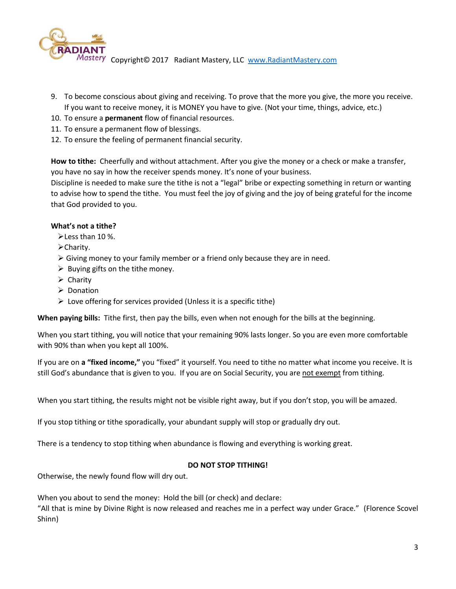

- 9. To become conscious about giving and receiving. To prove that the more you give, the more you receive. If you want to receive money, it is MONEY you have to give. (Not your time, things, advice, etc.)
- 10. To ensure a **permanent** flow of financial resources.
- 11. To ensure a permanent flow of blessings.
- 12. To ensure the feeling of permanent financial security.

**How to tithe:** Cheerfully and without attachment. After you give the money or a check or make a transfer, you have no say in how the receiver spends money. It's none of your business.

Discipline is needed to make sure the tithe is not a "legal" bribe or expecting something in return or wanting to advise how to spend the tithe. You must feel the joy of giving and the joy of being grateful for the income that God provided to you.

## **What's not a tithe?**

Less than 10 %.

- **≻Charity.**
- $\triangleright$  Giving money to your family member or a friend only because they are in need.
- $\triangleright$  Buying gifts on the tithe money.
- $\triangleright$  Charity
- **▶** Donation
- $\triangleright$  Love offering for services provided (Unless it is a specific tithe)

**When paying bills:** Tithe first, then pay the bills, even when not enough for the bills at the beginning.

When you start tithing, you will notice that your remaining 90% lasts longer. So you are even more comfortable with 90% than when you kept all 100%.

If you are on **a "fixed income,"** you "fixed" it yourself. You need to tithe no matter what income you receive. It is still God's abundance that is given to you. If you are on Social Security, you are not exempt from tithing.

When you start tithing, the results might not be visible right away, but if you don't stop, you will be amazed.

If you stop tithing or tithe sporadically, your abundant supply will stop or gradually dry out.

There is a tendency to stop tithing when abundance is flowing and everything is working great.

#### **DO NOT STOP TITHING!**

Otherwise, the newly found flow will dry out.

When you about to send the money: Hold the bill (or check) and declare:

"All that is mine by Divine Right is now released and reaches me in a perfect way under Grace." (Florence Scovel Shinn)